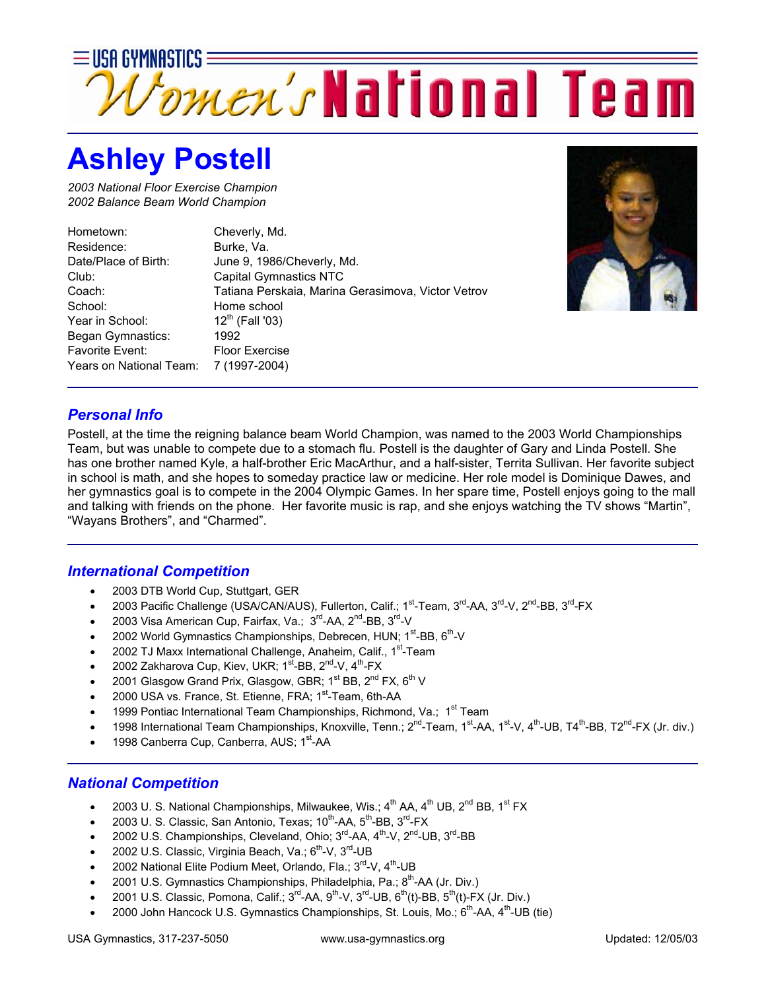

## **Ashley Postell**

*2003 National Floor Exercise Champion 2002 Balance Beam World Champion* 

| Hometown:               | Cheverly, Md.                                      |
|-------------------------|----------------------------------------------------|
| Residence:              | Burke, Va.                                         |
| Date/Place of Birth:    | June 9, 1986/Cheverly, Md.                         |
| Club:                   | <b>Capital Gymnastics NTC</b>                      |
| Coach:                  | Tatiana Perskaia, Marina Gerasimova, Victor Vetrov |
| School:                 | Home school                                        |
| Year in School:         | $12^{th}$ (Fall '03)                               |
| Began Gymnastics:       | 1992                                               |
| Favorite Event:         | <b>Floor Exercise</b>                              |
| Years on National Team: | 7 (1997-2004)                                      |



## *Personal Info*

Postell, at the time the reigning balance beam World Champion, was named to the 2003 World Championships Team, but was unable to compete due to a stomach flu. Postell is the daughter of Gary and Linda Postell. She has one brother named Kyle, a half-brother Eric MacArthur, and a half-sister, Territa Sullivan. Her favorite subject in school is math, and she hopes to someday practice law or medicine. Her role model is Dominique Dawes, and her gymnastics goal is to compete in the 2004 Olympic Games. In her spare time, Postell enjoys going to the mall and talking with friends on the phone. Her favorite music is rap, and she enjoys watching the TV shows "Martin", "Wayans Brothers", and "Charmed".

## *International Competition*

- 2003 DTB World Cup, Stuttgart, GER
- 2003 Pacific Challenge (USA/CAN/AUS), Fullerton, Calif.; 1<sup>st</sup>-Team, 3<sup>rd</sup>-AA, 3<sup>rd</sup>-V, 2<sup>nd</sup>-BB, 3<sup>rd</sup>-FX
- 2003 Visa American Cup, Fairfax, Va.; 3<sup>rd</sup>-AA, 2<sup>nd</sup>-BB, 3<sup>rd</sup>-V
- 2002 World Gymnastics Championships, Debrecen, HUN;  $1^{st}$ -BB,  $6^{th}$ -V
- 2002 TJ Maxx International Challenge, Anaheim, Calif., 1<sup>st</sup>-Team
- 2002 Zakharova Cup, Kiev, UKR; 1<sup>st</sup>-BB, 2<sup>nd</sup>-V, 4<sup>th</sup>-FX
- 2001 Glasgow Grand Prix, Glasgow, GBR; 1<sup>st</sup> BB, 2<sup>nd</sup> FX, 6<sup>th</sup> V
- 2000 USA vs. France, St. Etienne, FRA; 1<sup>st</sup>-Team, 6th-AA
- 1999 Pontiac International Team Championships, Richmond, Va.; 1<sup>st</sup> Team
- 1998 International Team Championships, Knoxville, Tenn.; 2<sup>nd</sup>-Team, 1<sup>st</sup>-AA, 1<sup>st</sup>-V, 4<sup>th</sup>-UB, T4<sup>th</sup>-BB, T2<sup>nd</sup>-FX (Jr. div.)
- 1998 Canberra Cup, Canberra, AUS; 1<sup>st</sup>-AA

## *National Competition*

- 2003 U. S. National Championships, Milwaukee, Wis.;  $4^{th}$  AA,  $4^{th}$  UB,  $2^{nd}$  BB,  $1^{st}$  FX
- 2003 U. S. Classic, San Antonio, Texas;  $10^{th}$ -AA,  $5^{th}$ -BB,  $3^{rd}$ -FX
- 2002 U.S. Championships, Cleveland, Ohio; 3<sup>rd</sup>-AA, 4<sup>th</sup>-V, 2<sup>nd</sup>-UB, 3<sup>rd</sup>-BB
- 2002 U.S. Classic, Virginia Beach, Va.; 6<sup>th</sup>-V, 3<sup>rd</sup>-UB
- 2002 National Elite Podium Meet, Orlando, Fla.; 3<sup>rd</sup>-V, 4<sup>th</sup>-UB
- 2001 U.S. Gymnastics Championships, Philadelphia, Pa.; 8<sup>th</sup>-AA (Jr. Div.)
- 2001 U.S. Classic, Pomona, Calif.;  $3^{rd}$ -AA,  $9^{th}$ -V,  $3^{rd}$ -UB,  $6^{th}$ (t)-BB,  $5^{th}$ (t)-FX (Jr. Div.)
- 2000 John Hancock U.S. Gymnastics Championships, St. Louis, Mo.;  $6^{th}$ -AA,  $4^{th}$ -UB (tie)